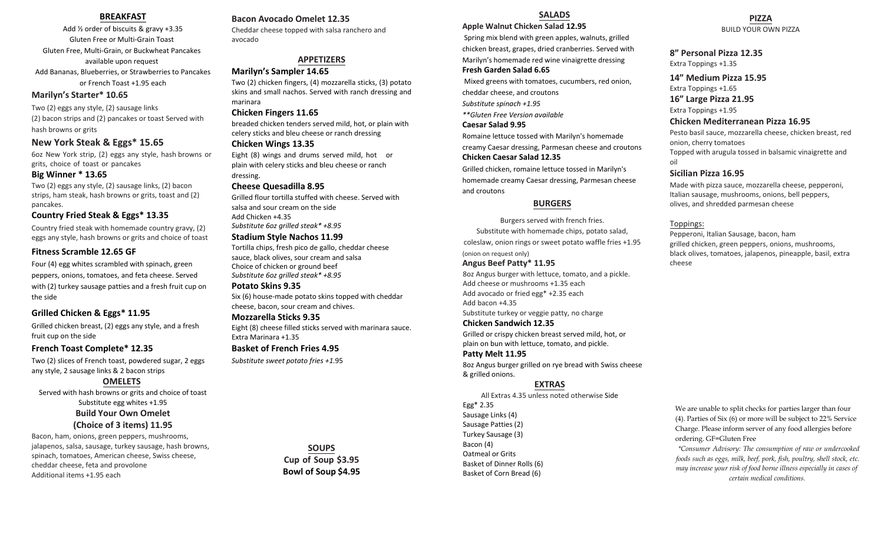## **BREAKFAST**

Add ½ order of biscuits & gravy +3.35 Gluten Free or Multi-Grain Toast Gluten Free, Multi-Grain, or Buckwheat Pancakes available upon request Add Bananas, Blueberries, or Strawberries to Pancakes or French Toast +1.95 each

# **Marilyn's Starter\* 10.65**

Two (2) eggs any style, (2) sausage links (2) bacon strips and (2) pancakes or toast Served with hash browns or grits

# **New York Steak & Eggs\* 15.65**

6oz New York strip, (2) eggs any style, hash browns or grits, choice of toast or pancakes

## **Big Winner \* 13.65**

Two (2) eggs any style, (2) sausage links, (2) bacon strips, ham steak, hash browns or grits, toast and (2) pancakes.

# **Country Fried Steak & Eggs\* 13.35**

Country fried steak with homemade country gravy, (2) eggs any style, hash browns or grits and choice of toast

# **Fitness Scramble 12.65 GF**

Four (4) egg whites scrambled with spinach, green peppers, onions, tomatoes, and feta cheese. Served with (2) turkey sausage patties and a fresh fruit cup on the side

# **Grilled Chicken & Eggs\* 11.95**

Grilled chicken breast, (2) eggs any style, and a fresh fruit cup on the side

# **French Toast Complete\* 12.35**

Two (2) slices of French toast, powdered sugar, 2 eggs any style, 2 sausage links & 2 bacon strips

# **OMELETS**

Served with hash browns or grits and choice of toast Substitute egg whites +1.95 **Build Your Own Omelet (Choice of 3 items) 11.95**

Bacon, ham, onions, green peppers, mushrooms, jalapenos, salsa, sausage, turkey sausage, hash browns, spinach, tomatoes, American cheese, Swiss cheese, cheddar cheese, feta and provolone Additional items +1.95 each

# **Bacon Avocado Omelet 12.35**

Cheddar cheese topped with salsa ranchero and avocado

# **APPETIZERS**

**Marilyn's Sampler 14.65**

Two (2) chicken fingers, (4) mozzarella sticks, (3) potato skins and small nachos. Served with ranch dressing and marinara

## **Chicken Fingers 11.65**

breaded chicken tenders served mild, hot, or plain with celery sticks and bleu cheese or ranch dressing

## **Chicken Wings 13.35**

Eight (8) wings and drums served mild, hot or plain with celery sticks and bleu cheese or ranch dressing.

### **Cheese Quesadilla 8.95**

Grilled flour tortilla stuffed with cheese. Served with salsa and sour cream on the side Add Chicken +4.35 *Substitute 6oz grilled steak\* +8.95*

### **Stadium Style Nachos 11.99**

Tortilla chips, fresh pico de gallo, cheddar cheese sauce, black olives, sour cream and salsa Choice of chicken or ground beef *Substitute 6oz grilled steak\* +8.95*

#### **Potato Skins 9.35**

Six (6) house-made potato skins topped with cheddar cheese, bacon, sour cream and chives.

#### **Mozzarella Sticks 9.35**

Eight (8) cheese filled sticks served with marinara sauce. Extra Marinara +1.35

# **Basket of French Fries 4.95**

*Substitute sweet potato fries +1.*95

**SOUPS Cup of Soup \$3.95 Bowl of Soup \$4.95**

# **SALADS**

### **Apple Walnut Chicken Salad 12.95**

Spring mix blend with green apples, walnuts, grilled chicken breast, grapes, dried cranberries. Served with Marilyn's homemade red wine vinaigrette dressing

# **Fresh Garden Salad 6.65**

Mixed greens with tomatoes, cucumbers, red onion, cheddar cheese, and croutons *Substitute spinach +1.95*

*\*\*Gluten Free Version available* 

# **Caesar Salad 9.95**

Romaine lettuce tossed with Marilyn's homemade creamy Caesar dressing, Parmesan cheese and croutons **Chicken Caesar Salad 12.35**

Grilled chicken, romaine lettuce tossed in Marilyn's homemade creamy Caesar dressing, Parmesan cheese and croutons

### **BURGERS**

Burgers served with french fries. Substitute with homemade chips, potato salad, coleslaw, onion rings or sweet potato waffle fries +1.95 (onion on request only)

## **Angus Beef Patty\* 11.95**

8oz Angus burger with lettuce, tomato, and a pickle. Add cheese or mushrooms +1.35 each Add avocado or fried egg\* +2.35 each Add bacon +4.35 Substitute turkey or veggie patty, no charge

# **Chicken Sandwich 12.35**

Grilled or crispy chicken breast served mild, hot, or plain on bun with lettuce, tomato, and pickle.

## **Patty Melt 11.95**

8oz Angus burger grilled on rye bread with Swiss cheese & grilled onions.

# **EXTRAS**

All Extras 4.35 unless noted otherwise Side Egg\* 2.35 Sausage Links (4) Sausage Patties (2) Turkey Sausage (3) Bacon (4) Oatmeal or Grits Basket of Dinner Rolls (6) Basket of Corn Bread (6)

**PIZZA** BUILD YOUR OWN PIZZA

# **8" Personal Pizza 12.35**

Extra Toppings +1.35

# **14" Medium Pizza 15.95**

Extra Toppings +1.65

# **16" Large Pizza 21.95**

Extra Toppings +1.95 **Chicken Mediterranean Pizza 16.95**

Pesto basil sauce, mozzarella cheese, chicken breast, red onion, cherry tomatoes Topped with arugula tossed in balsamic vinaigrette and oil

## **Sicilian Pizza 16.95**

Made with pizza sauce, mozzarella cheese, pepperoni, Italian sausage, mushrooms, onions, bell peppers, olives, and shredded parmesan cheese

## Toppings:

Pepperoni, Italian Sausage, bacon, ham grilled chicken, green peppers, onions, mushrooms, black olives, tomatoes, jalapenos, pineapple, basil, extra cheese

We are unable to split checks for parties larger than four (4). Parties of Six (6) or more will be subject to 22% Service Charge. Please inform server of any food allergies before ordering. GF=Gluten Free

*\*Consumer Advisory: The consumption of raw or undercooked foods such as eggs, milk, beef, pork, fish, poultry, shell stock, etc. may increase your risk of food borne illness especially in cases of certain medical conditions.*